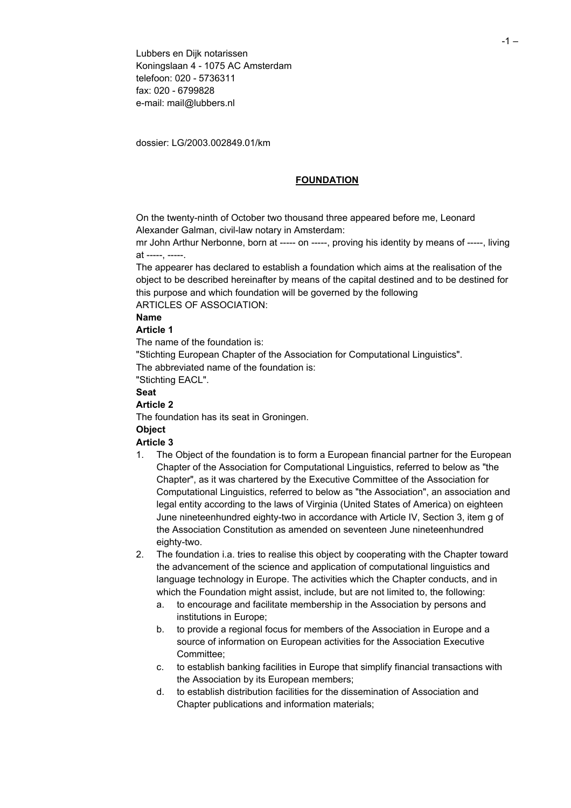Lubbers en Dijk notarissen Koningslaan 4 - 1075 AC Amsterdam telefoon: 020 - 5736311 fax: 020 - 6799828 e-mail: mail@lubbers.nl

dossier: LG/2003.002849.01/km

#### **FOUNDATION**

On the twenty-ninth of October two thousand three appeared before me, Leonard Alexander Galman, civil-law notary in Amsterdam:

mr John Arthur Nerbonne, born at ----- on -----, proving his identity by means of -----, living at -----, -----.

The appearer has declared to establish a foundation which aims at the realisation of the object to be described hereinafter by means of the capital destined and to be destined for this purpose and which foundation will be governed by the following

ARTICLES OF ASSOCIATION:

#### **Name**

### **Article 1**

The name of the foundation is:

"Stichting European Chapter of the Association for Computational Linguistics". The abbreviated name of the foundation is:

"Stichting EACL".

### **Seat**

# **Article 2**

The foundation has its seat in Groningen.

#### **Object**

### **Article 3**

- 1. The Object of the foundation is to form a European financial partner for the European Chapter of the Association for Computational Linguistics, referred to below as "the Chapter", as it was chartered by the Executive Committee of the Association for Computational Linguistics, referred to below as "the Association", an association and legal entity according to the laws of Virginia (United States of America) on eighteen June nineteenhundred eighty-two in accordance with Article IV, Section 3, item g of the Association Constitution as amended on seventeen June nineteenhundred eighty-two.
- 2. The foundation i.a. tries to realise this object by cooperating with the Chapter toward the advancement of the science and application of computational linguistics and language technology in Europe. The activities which the Chapter conducts, and in which the Foundation might assist, include, but are not limited to, the following:
	- a. to encourage and facilitate membership in the Association by persons and institutions in Europe;
	- b. to provide a regional focus for members of the Association in Europe and a source of information on European activities for the Association Executive Committee;
	- c. to establish banking facilities in Europe that simplify financial transactions with the Association by its European members;
	- d. to establish distribution facilities for the dissemination of Association and Chapter publications and information materials;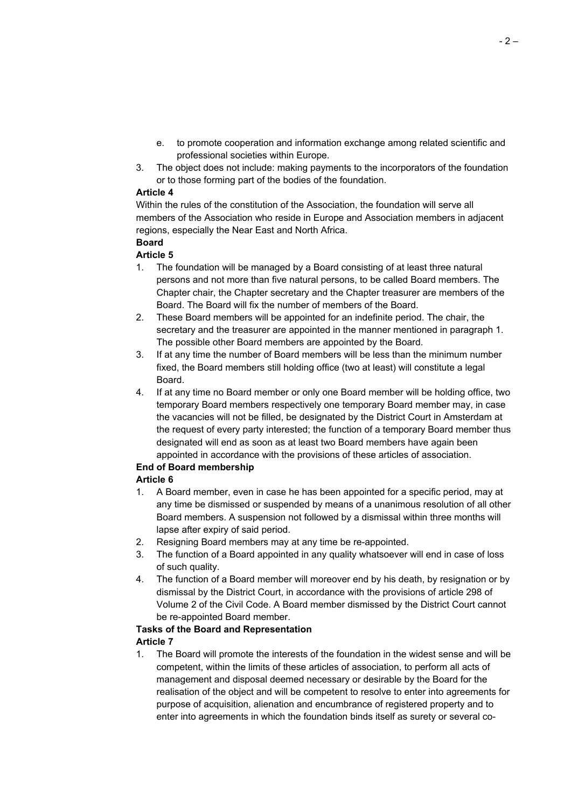- e. to promote cooperation and information exchange among related scientific and professional societies within Europe.
- 3. The object does not include: making payments to the incorporators of the foundation or to those forming part of the bodies of the foundation.

### **Article 4**

Within the rules of the constitution of the Association, the foundation will serve all members of the Association who reside in Europe and Association members in adjacent regions, especially the Near East and North Africa.

#### **Board Article 5**

- 1. The foundation will be managed by a Board consisting of at least three natural persons and not more than five natural persons, to be called Board members. The Chapter chair, the Chapter secretary and the Chapter treasurer are members of the Board. The Board will fix the number of members of the Board.
- 2. These Board members will be appointed for an indefinite period. The chair, the secretary and the treasurer are appointed in the manner mentioned in paragraph 1. The possible other Board members are appointed by the Board.
- 3. If at any time the number of Board members will be less than the minimum number fixed, the Board members still holding office (two at least) will constitute a legal Board.
- 4. If at any time no Board member or only one Board member will be holding office, two temporary Board members respectively one temporary Board member may, in case the vacancies will not be filled, be designated by the District Court in Amsterdam at the request of every party interested; the function of a temporary Board member thus designated will end as soon as at least two Board members have again been appointed in accordance with the provisions of these articles of association.

### **End of Board membership**

# **Article 6**

- 1. A Board member, even in case he has been appointed for a specific period, may at any time be dismissed or suspended by means of a unanimous resolution of all other Board members. A suspension not followed by a dismissal within three months will lapse after expiry of said period.
- 2. Resigning Board members may at any time be re-appointed.
- 3. The function of a Board appointed in any quality whatsoever will end in case of loss of such quality.
- 4. The function of a Board member will moreover end by his death, by resignation or by dismissal by the District Court, in accordance with the provisions of article 298 of Volume 2 of the Civil Code. A Board member dismissed by the District Court cannot be re-appointed Board member.

### **Tasks of the Board and Representation**

# **Article 7**

1. The Board will promote the interests of the foundation in the widest sense and will be competent, within the limits of these articles of association, to perform all acts of management and disposal deemed necessary or desirable by the Board for the realisation of the object and will be competent to resolve to enter into agreements for purpose of acquisition, alienation and encumbrance of registered property and to enter into agreements in which the foundation binds itself as surety or several co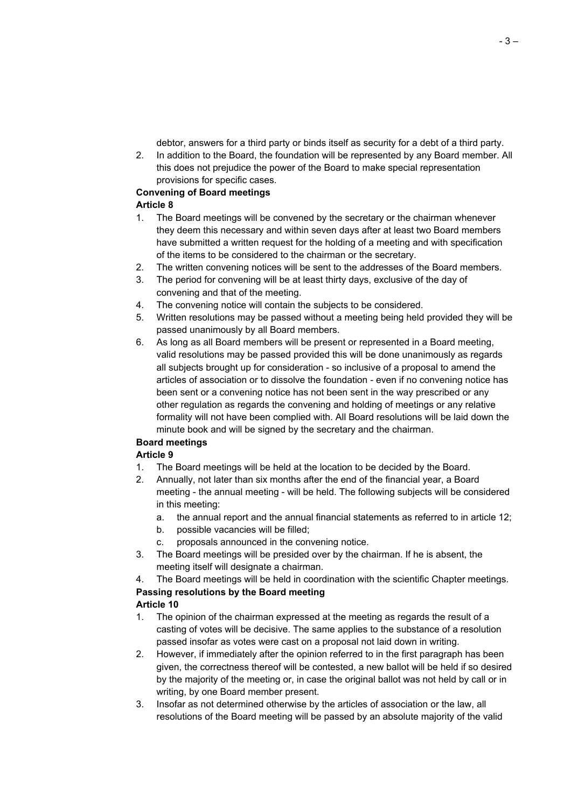debtor, answers for a third party or binds itself as security for a debt of a third party.

2. In addition to the Board, the foundation will be represented by any Board member. All this does not prejudice the power of the Board to make special representation provisions for specific cases.

### **Convening of Board meetings**

# **Article 8**

- 1. The Board meetings will be convened by the secretary or the chairman whenever they deem this necessary and within seven days after at least two Board members have submitted a written request for the holding of a meeting and with specification of the items to be considered to the chairman or the secretary.
- 2. The written convening notices will be sent to the addresses of the Board members.
- 3. The period for convening will be at least thirty days, exclusive of the day of convening and that of the meeting.
- 4. The convening notice will contain the subjects to be considered.
- 5. Written resolutions may be passed without a meeting being held provided they will be passed unanimously by all Board members.
- 6. As long as all Board members will be present or represented in a Board meeting, valid resolutions may be passed provided this will be done unanimously as regards all subjects brought up for consideration - so inclusive of a proposal to amend the articles of association or to dissolve the foundation - even if no convening notice has been sent or a convening notice has not been sent in the way prescribed or any other regulation as regards the convening and holding of meetings or any relative formality will not have been complied with. All Board resolutions will be laid down the minute book and will be signed by the secretary and the chairman.

# **Board meetings**

# **Article 9**

- 1. The Board meetings will be held at the location to be decided by the Board.
- 2. Annually, not later than six months after the end of the financial year, a Board meeting - the annual meeting - will be held. The following subjects will be considered in this meeting:
	- a. the annual report and the annual financial statements as referred to in article 12;
	- b. possible vacancies will be filled;
	- c. proposals announced in the convening notice.
- 3. The Board meetings will be presided over by the chairman. If he is absent, the meeting itself will designate a chairman.

4. The Board meetings will be held in coordination with the scientific Chapter meetings. **Passing resolutions by the Board meeting**

# **Article 10**

- 1. The opinion of the chairman expressed at the meeting as regards the result of a casting of votes will be decisive. The same applies to the substance of a resolution passed insofar as votes were cast on a proposal not laid down in writing.
- 2. However, if immediately after the opinion referred to in the first paragraph has been given, the correctness thereof will be contested, a new ballot will be held if so desired by the majority of the meeting or, in case the original ballot was not held by call or in writing, by one Board member present.
- 3. Insofar as not determined otherwise by the articles of association or the law, all resolutions of the Board meeting will be passed by an absolute majority of the valid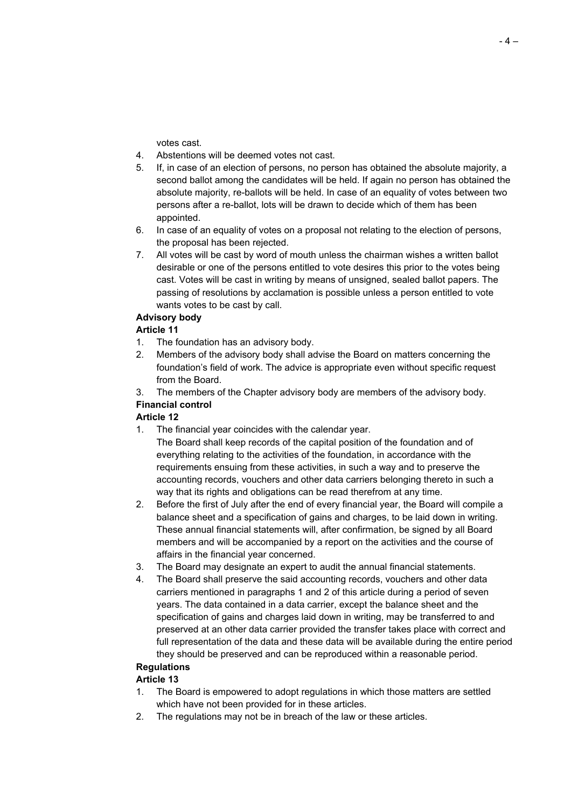votes cast.

- 4. Abstentions will be deemed votes not cast.
- 5. If, in case of an election of persons, no person has obtained the absolute majority, a second ballot among the candidates will be held. If again no person has obtained the absolute majority, re-ballots will be held. In case of an equality of votes between two persons after a re-ballot, lots will be drawn to decide which of them has been appointed.
- 6. In case of an equality of votes on a proposal not relating to the election of persons, the proposal has been rejected.
- 7. All votes will be cast by word of mouth unless the chairman wishes a written ballot desirable or one of the persons entitled to vote desires this prior to the votes being cast. Votes will be cast in writing by means of unsigned, sealed ballot papers. The passing of resolutions by acclamation is possible unless a person entitled to vote wants votes to be cast by call.

### **Advisory body**

### **Article 11**

- 1. The foundation has an advisory body.
- 2. Members of the advisory body shall advise the Board on matters concerning the foundation's field of work. The advice is appropriate even without specific request from the Board.
- 3. The members of the Chapter advisory body are members of the advisory body. **Financial control**

### **Article 12**

- 1. The financial year coincides with the calendar year.
	- The Board shall keep records of the capital position of the foundation and of everything relating to the activities of the foundation, in accordance with the requirements ensuing from these activities, in such a way and to preserve the accounting records, vouchers and other data carriers belonging thereto in such a way that its rights and obligations can be read therefrom at any time.
- 2. Before the first of July after the end of every financial year, the Board will compile a balance sheet and a specification of gains and charges, to be laid down in writing. These annual financial statements will, after confirmation, be signed by all Board members and will be accompanied by a report on the activities and the course of affairs in the financial year concerned.
- 3. The Board may designate an expert to audit the annual financial statements.
- 4. The Board shall preserve the said accounting records, vouchers and other data carriers mentioned in paragraphs 1 and 2 of this article during a period of seven years. The data contained in a data carrier, except the balance sheet and the specification of gains and charges laid down in writing, may be transferred to and preserved at an other data carrier provided the transfer takes place with correct and full representation of the data and these data will be available during the entire period they should be preserved and can be reproduced within a reasonable period.

# **Regulations**

### **Article 13**

- 1. The Board is empowered to adopt regulations in which those matters are settled which have not been provided for in these articles.
- 2. The regulations may not be in breach of the law or these articles.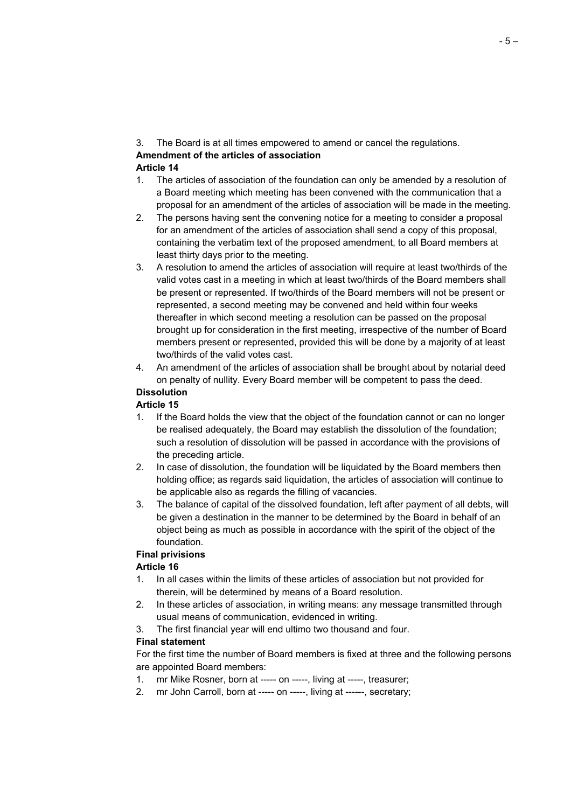- 3. The Board is at all times empowered to amend or cancel the regulations. **Amendment of the articles of association Article 14**
- 1. The articles of association of the foundation can only be amended by a resolution of a Board meeting which meeting has been convened with the communication that a proposal for an amendment of the articles of association will be made in the meeting.
- 2. The persons having sent the convening notice for a meeting to consider a proposal for an amendment of the articles of association shall send a copy of this proposal, containing the verbatim text of the proposed amendment, to all Board members at least thirty days prior to the meeting.
- 3. A resolution to amend the articles of association will require at least two/thirds of the valid votes cast in a meeting in which at least two/thirds of the Board members shall be present or represented. If two/thirds of the Board members will not be present or represented, a second meeting may be convened and held within four weeks thereafter in which second meeting a resolution can be passed on the proposal brought up for consideration in the first meeting, irrespective of the number of Board members present or represented, provided this will be done by a majority of at least two/thirds of the valid votes cast.
- 4. An amendment of the articles of association shall be brought about by notarial deed on penalty of nullity. Every Board member will be competent to pass the deed.

# **Dissolution**

### **Article 15**

- 1. If the Board holds the view that the object of the foundation cannot or can no longer be realised adequately, the Board may establish the dissolution of the foundation; such a resolution of dissolution will be passed in accordance with the provisions of the preceding article.
- 2. In case of dissolution, the foundation will be liquidated by the Board members then holding office; as regards said liquidation, the articles of association will continue to be applicable also as regards the filling of vacancies.
- 3. The balance of capital of the dissolved foundation, left after payment of all debts, will be given a destination in the manner to be determined by the Board in behalf of an object being as much as possible in accordance with the spirit of the object of the foundation.

# **Final privisions**

### **Article 16**

- 1. In all cases within the limits of these articles of association but not provided for therein, will be determined by means of a Board resolution.
- 2. In these articles of association, in writing means: any message transmitted through usual means of communication, evidenced in writing.
- 3. The first financial year will end ultimo two thousand and four.

### **Final statement**

For the first time the number of Board members is fixed at three and the following persons are appointed Board members:

- 1. mr Mike Rosner, born at ----- on -----, living at -----, treasurer;
- 2. mr John Carroll, born at ----- on -----, living at ------, secretary;